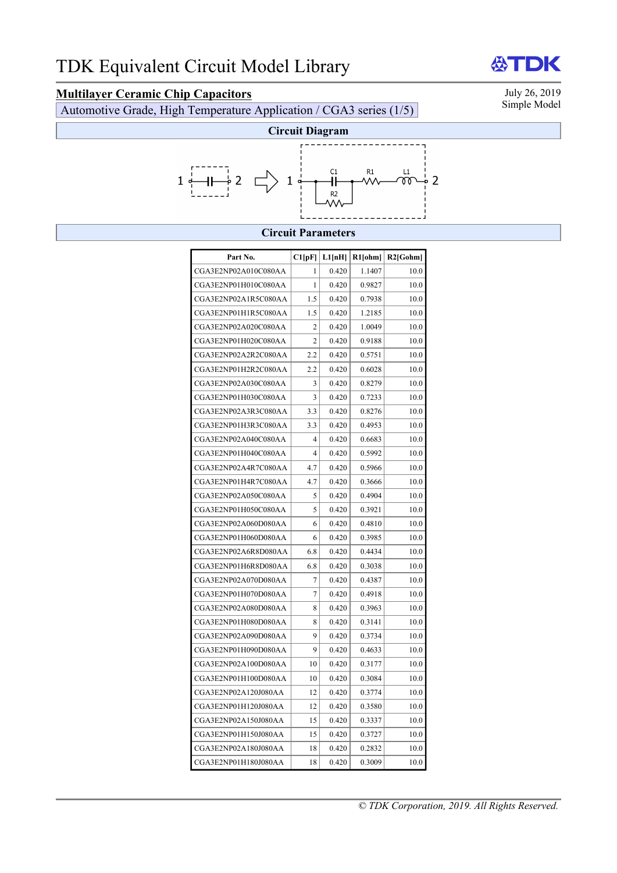# **Multilayer Ceramic Chip Capacitors**<br>Automotive Grade, High Temperature Application (CGA3 series (1/5) Simple Model

Automotive Grade, High Temperature Application / CGA3 series (1/5)



### **Circuit Parameters**

| Part No.             | Cl[pF] | L1[nH] | R1[ohm] | $R2$ [Gohm] |
|----------------------|--------|--------|---------|-------------|
| CGA3E2NP02A010C080AA | 1      | 0.420  | 1.1407  | 10.0        |
| CGA3E2NP01H010C080AA | 1      | 0.420  | 0.9827  | 10.0        |
| CGA3E2NP02A1R5C080AA | 1.5    | 0.420  | 0.7938  | 10.0        |
| CGA3E2NP01H1R5C080AA | 1.5    | 0.420  | 1.2185  | 10.0        |
| CGA3E2NP02A020C080AA | 2      | 0.420  | 1.0049  | 10.0        |
| CGA3E2NP01H020C080AA | 2      | 0.420  | 0.9188  | 10.0        |
| CGA3E2NP02A2R2C080AA | 2.2    | 0.420  | 0.5751  | 10.0        |
| CGA3E2NP01H2R2C080AA | 2.2    | 0.420  | 0.6028  | 10.0        |
| CGA3E2NP02A030C080AA | 3      | 0.420  | 0.8279  | 10.0        |
| CGA3E2NP01H030C080AA | 3      | 0.420  | 0.7233  | 10.0        |
| CGA3E2NP02A3R3C080AA | 3.3    | 0.420  | 0.8276  | 10.0        |
| CGA3E2NP01H3R3C080AA | 3.3    | 0.420  | 0.4953  | 10.0        |
| CGA3E2NP02A040C080AA | 4      | 0.420  | 0.6683  | 10.0        |
| CGA3E2NP01H040C080AA | 4      | 0.420  | 0.5992  | 10.0        |
| CGA3E2NP02A4R7C080AA | 4.7    | 0.420  | 0.5966  | 10.0        |
| CGA3E2NP01H4R7C080AA | 4.7    | 0.420  | 0.3666  | 10.0        |
| CGA3E2NP02A050C080AA | 5      | 0.420  | 0.4904  | 10.0        |
| CGA3E2NP01H050C080AA | 5      | 0.420  | 0.3921  | 10.0        |
| CGA3E2NP02A060D080AA | 6      | 0.420  | 0.4810  | 10.0        |
| CGA3E2NP01H060D080AA | 6      | 0.420  | 0.3985  | 10.0        |
| CGA3E2NP02A6R8D080AA | 6.8    | 0.420  | 0.4434  | 10.0        |
| CGA3E2NP01H6R8D080AA | 6.8    | 0.420  | 0.3038  | 10.0        |
| CGA3E2NP02A070D080AA | 7      | 0.420  | 0.4387  | 10.0        |
| CGA3E2NP01H070D080AA | 7      | 0.420  | 0.4918  | 10.0        |
| CGA3E2NP02A080D080AA | 8      | 0.420  | 0.3963  | 10.0        |
| CGA3E2NP01H080D080AA | 8      | 0.420  | 0.3141  | 10.0        |
| CGA3E2NP02A090D080AA | 9      | 0.420  | 0.3734  | 10.0        |
| CGA3E2NP01H090D080AA | 9      | 0.420  | 0.4633  | 10.0        |
| CGA3E2NP02A100D080AA | 10     | 0.420  | 0.3177  | 10.0        |
| CGA3E2NP01H100D080AA | 10     | 0.420  | 0.3084  | 10.0        |
| CGA3E2NP02A120J080AA | 12     | 0.420  | 0.3774  | 10.0        |
| CGA3E2NP01H120J080AA | 12     | 0.420  | 0.3580  | 10.0        |
| CGA3E2NP02A150J080AA | 15     | 0.420  | 0.3337  | 10.0        |
| CGA3E2NP01H150J080AA | 15     | 0.420  | 0.3727  | 10.0        |
| CGA3E2NP02A180J080AA | 18     | 0.420  | 0.2832  | 10.0        |
| CGA3E2NP01H180J080AA | 18     | 0.420  | 0.3009  | 10.0        |

### **ATDK**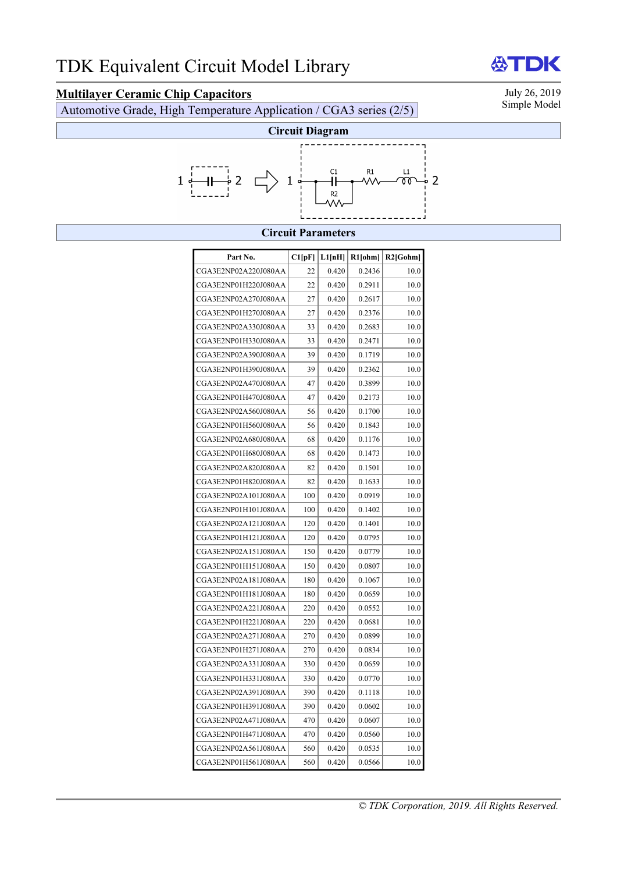**Multilayer Ceramic Chip Capacitors**<br>Automotive Grade High Temperature Application / CGA3 series (2/5) Simple Model Automotive Grade, High Temperature Application / CGA3 series (2/5)



#### **Circuit Parameters**

| Part No.             | Cl[pF] | L1[nH] | R1[ohm] | $R2$ [Gohm] |
|----------------------|--------|--------|---------|-------------|
| CGA3E2NP02A220J080AA | 22     | 0.420  | 0.2436  | 10.0        |
| CGA3E2NP01H220J080AA | 22     | 0.420  | 0.2911  | 10.0        |
| CGA3E2NP02A270J080AA | 27     | 0.420  | 0.2617  | 10.0        |
| CGA3E2NP01H270J080AA | 27     | 0.420  | 0.2376  | 10.0        |
| CGA3E2NP02A330J080AA | 33     | 0.420  | 0.2683  | 10.0        |
| CGA3E2NP01H330J080AA | 33     | 0.420  | 0.2471  | 10.0        |
| CGA3E2NP02A390J080AA | 39     | 0.420  | 0.1719  | 10.0        |
| CGA3E2NP01H390J080AA | 39     | 0.420  | 0.2362  | 10.0        |
| CGA3E2NP02A470J080AA | 47     | 0.420  | 0.3899  | 10.0        |
| CGA3E2NP01H470J080AA | 47     | 0.420  | 0.2173  | 10.0        |
| CGA3E2NP02A560J080AA | 56     | 0.420  | 0.1700  | 10.0        |
| CGA3E2NP01H560J080AA | 56     | 0.420  | 0.1843  | 10.0        |
| CGA3E2NP02A680J080AA | 68     | 0.420  | 0.1176  | 10.0        |
| CGA3E2NP01H680J080AA | 68     | 0.420  | 0.1473  | 10.0        |
| CGA3E2NP02A820J080AA | 82     | 0.420  | 0.1501  | 10.0        |
| CGA3E2NP01H820J080AA | 82     | 0.420  | 0.1633  | 10.0        |
| CGA3E2NP02A101J080AA | 100    | 0.420  | 0.0919  | 10.0        |
| CGA3E2NP01H101J080AA | 100    | 0.420  | 0.1402  | 10.0        |
| CGA3E2NP02A121J080AA | 120    | 0.420  | 0.1401  | 10.0        |
| CGA3E2NP01H121J080AA | 120    | 0.420  | 0.0795  | 10.0        |
| CGA3E2NP02A151J080AA | 150    | 0.420  | 0.0779  | 10.0        |
| CGA3E2NP01H151J080AA | 150    | 0.420  | 0.0807  | 10.0        |
| CGA3E2NP02A181J080AA | 180    | 0.420  | 0.1067  | 10.0        |
| CGA3E2NP01H181J080AA | 180    | 0.420  | 0.0659  | 10.0        |
| CGA3E2NP02A221J080AA | 220    | 0.420  | 0.0552  | 10.0        |
| CGA3E2NP01H221J080AA | 220    | 0.420  | 0.0681  | 10.0        |
| CGA3E2NP02A271J080AA | 270    | 0.420  | 0.0899  | 10.0        |
| CGA3E2NP01H271J080AA | 270    | 0.420  | 0.0834  | 10.0        |
| CGA3E2NP02A331J080AA | 330    | 0.420  | 0.0659  | 10.0        |
| CGA3E2NP01H331J080AA | 330    | 0.420  | 0.0770  | 10.0        |
| CGA3E2NP02A391J080AA | 390    | 0.420  | 0.1118  | 10.0        |
| CGA3E2NP01H391J080AA | 390    | 0.420  | 0.0602  | 10.0        |
| CGA3E2NP02A471J080AA | 470    | 0.420  | 0.0607  | 10.0        |
| CGA3E2NP01H471J080AA | 470    | 0.420  | 0.0560  | 10.0        |
| CGA3E2NP02A561J080AA | 560    | 0.420  | 0.0535  | 10.0        |
| CGA3E2NP01H561J080AA | 560    | 0.420  | 0.0566  | 10.0        |

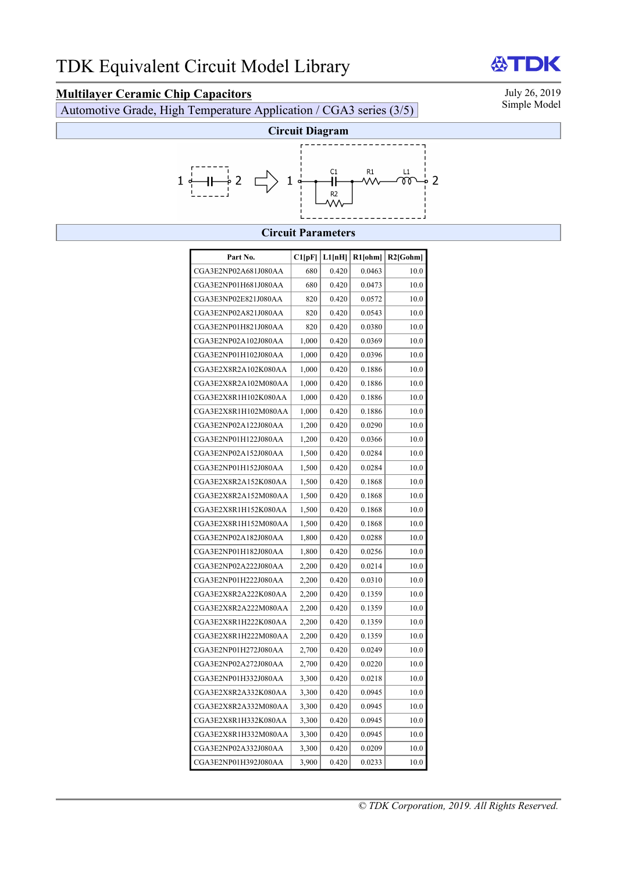# **Multilayer Ceramic Chip Capacitors**<br>Automotive Grade High Temperature Application / CGA3 series (3/5) Simple Model

Automotive Grade, High Temperature Application / CGA3 series (3/5)



#### **Circuit Parameters**

| Part No.             | Cl[pF] | L1[nH] | $R1$ [ohm] | $R2$ [Gohm] |
|----------------------|--------|--------|------------|-------------|
| CGA3E2NP02A681J080AA | 680    | 0.420  | 0.0463     | 10.0        |
| CGA3E2NP01H681J080AA | 680    | 0.420  | 0.0473     | 10.0        |
| CGA3E3NP02E821J080AA | 820    | 0.420  | 0.0572     | 10.0        |
| CGA3E2NP02A821J080AA | 820    | 0.420  | 0.0543     | 10.0        |
| CGA3E2NP01H821J080AA | 820    | 0.420  | 0.0380     | 10.0        |
| CGA3E2NP02A102J080AA | 1.000  | 0.420  | 0.0369     | 10.0        |
| CGA3E2NP01H102J080AA | 1,000  | 0.420  | 0.0396     | 10.0        |
| CGA3E2X8R2A102K080AA | 1,000  | 0.420  | 0.1886     | 10.0        |
| CGA3E2X8R2A102M080AA | 1,000  | 0.420  | 0.1886     | 10.0        |
| CGA3E2X8R1H102K080AA | 1,000  | 0.420  | 0.1886     | 10.0        |
| CGA3E2X8R1H102M080AA | 1,000  | 0.420  | 0.1886     | 10.0        |
| CGA3E2NP02A122J080AA | 1,200  | 0.420  | 0.0290     | 10.0        |
| CGA3E2NP01H122J080AA | 1,200  | 0.420  | 0.0366     | 10.0        |
| CGA3E2NP02A152J080AA | 1,500  | 0.420  | 0.0284     | 10.0        |
| CGA3E2NP01H152J080AA | 1,500  | 0.420  | 0.0284     | 10.0        |
| CGA3E2X8R2A152K080AA | 1,500  | 0.420  | 0.1868     | 10.0        |
| CGA3E2X8R2A152M080AA | 1,500  | 0.420  | 0.1868     | 10.0        |
| CGA3E2X8R1H152K080AA | 1,500  | 0.420  | 0.1868     | 10.0        |
| CGA3E2X8R1H152M080AA | 1,500  | 0.420  | 0.1868     | 10.0        |
| CGA3E2NP02A182J080AA | 1,800  | 0.420  | 0.0288     | 10.0        |
| CGA3E2NP01H182J080AA | 1,800  | 0.420  | 0.0256     | 10.0        |
| CGA3E2NP02A222J080AA | 2,200  | 0.420  | 0.0214     | 10.0        |
| CGA3E2NP01H222J080AA | 2,200  | 0.420  | 0.0310     | 10.0        |
| CGA3E2X8R2A222K080AA | 2,200  | 0.420  | 0.1359     | 10.0        |
| CGA3E2X8R2A222M080AA | 2,200  | 0.420  | 0.1359     | 10.0        |
| CGA3E2X8R1H222K080AA | 2,200  | 0.420  | 0.1359     | 10.0        |
| CGA3E2X8R1H222M080AA | 2,200  | 0.420  | 0.1359     | 10.0        |
| CGA3E2NP01H272J080AA | 2,700  | 0.420  | 0.0249     | 10.0        |
| CGA3E2NP02A272J080AA | 2,700  | 0.420  | 0.0220     | 10.0        |
| CGA3E2NP01H332J080AA | 3,300  | 0.420  | 0.0218     | 10.0        |
| CGA3E2X8R2A332K080AA | 3,300  | 0.420  | 0.0945     | 10.0        |
| CGA3E2X8R2A332M080AA | 3,300  | 0.420  | 0.0945     | 10.0        |
| CGA3E2X8R1H332K080AA | 3,300  | 0.420  | 0.0945     | 10.0        |
| CGA3E2X8R1H332M080AA | 3,300  | 0.420  | 0.0945     | 10.0        |
| CGA3E2NP02A332J080AA | 3,300  | 0.420  | 0.0209     | 10.0        |
| CGA3E2NP01H392J080AA | 3,900  | 0.420  | 0.0233     | 10.0        |

### **ATDK**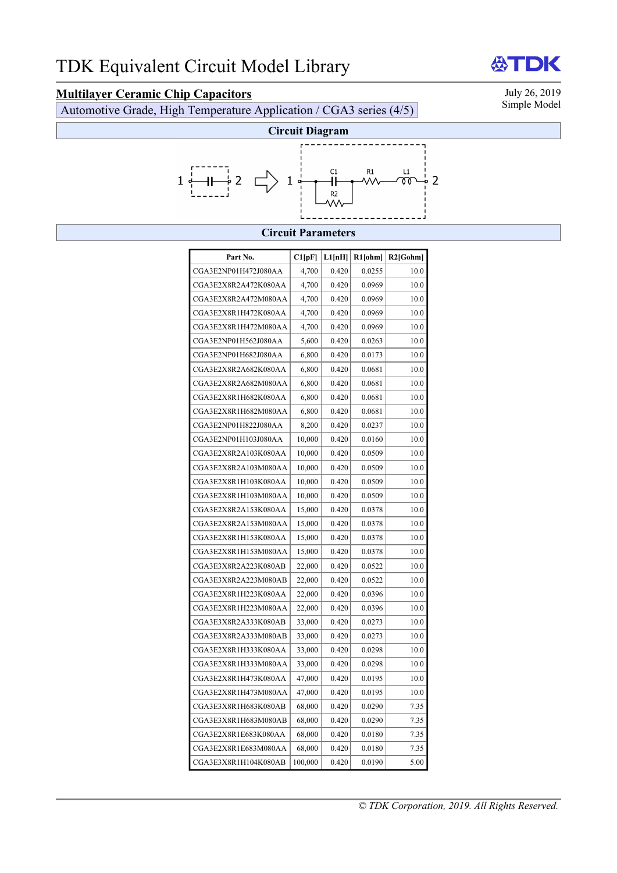# **Multilayer Ceramic Chip Capacitors**<br>Automotive Grade, High Temperature Application (CGA3 series (A/5) Simple Model

Automotive Grade, High Temperature Application / CGA3 series (4/5)

**ATDK** 



### **Circuit Parameters**

| Part No.             | Cl[pF]  | L1[nH] | $R1$ [ohm] | $R2$ [Gohm] |
|----------------------|---------|--------|------------|-------------|
| CGA3E2NP01H472J080AA | 4,700   | 0.420  | 0.0255     | 10.0        |
| CGA3E2X8R2A472K080AA | 4,700   | 0.420  | 0.0969     | 10.0        |
| CGA3E2X8R2A472M080AA | 4,700   | 0.420  | 0.0969     | 10.0        |
| CGA3E2X8R1H472K080AA | 4,700   | 0.420  | 0.0969     | 10.0        |
| CGA3E2X8R1H472M080AA | 4,700   | 0.420  | 0.0969     | 10.0        |
| CGA3E2NP01H562J080AA | 5,600   | 0.420  | 0.0263     | 10.0        |
| CGA3E2NP01H682J080AA | 6,800   | 0.420  | 0.0173     | 10.0        |
| CGA3E2X8R2A682K080AA | 6,800   | 0.420  | 0.0681     | 10.0        |
| CGA3E2X8R2A682M080AA | 6,800   | 0.420  | 0.0681     | 10.0        |
| CGA3E2X8R1H682K080AA | 6,800   | 0.420  | 0.0681     | 10.0        |
| CGA3E2X8R1H682M080AA | 6,800   | 0.420  | 0.0681     | 10.0        |
| CGA3E2NP01H822J080AA | 8,200   | 0.420  | 0.0237     | 10.0        |
| CGA3E2NP01H103J080AA | 10,000  | 0.420  | 0.0160     | 10.0        |
| CGA3E2X8R2A103K080AA | 10,000  | 0.420  | 0.0509     | 10.0        |
| CGA3E2X8R2A103M080AA | 10,000  | 0.420  | 0.0509     | 10.0        |
| CGA3E2X8R1H103K080AA | 10,000  | 0.420  | 0.0509     | 10.0        |
| CGA3E2X8R1H103M080AA | 10,000  | 0.420  | 0.0509     | 10.0        |
| CGA3E2X8R2A153K080AA | 15,000  | 0.420  | 0.0378     | 10.0        |
| CGA3E2X8R2A153M080AA | 15,000  | 0.420  | 0.0378     | 10.0        |
| CGA3E2X8R1H153K080AA | 15,000  | 0.420  | 0.0378     | 10.0        |
| CGA3E2X8R1H153M080AA | 15,000  | 0.420  | 0.0378     | 10.0        |
| CGA3E3X8R2A223K080AB | 22,000  | 0.420  | 0.0522     | 10.0        |
| CGA3E3X8R2A223M080AB | 22,000  | 0.420  | 0.0522     | 10.0        |
| CGA3E2X8R1H223K080AA | 22,000  | 0.420  | 0.0396     | 10.0        |
| CGA3E2X8R1H223M080AA | 22,000  | 0.420  | 0.0396     | 10.0        |
| CGA3E3X8R2A333K080AB | 33,000  | 0.420  | 0.0273     | 10.0        |
| CGA3E3X8R2A333M080AB | 33,000  | 0.420  | 0.0273     | 10.0        |
| CGA3E2X8R1H333K080AA | 33,000  | 0.420  | 0.0298     | 10.0        |
| CGA3E2X8R1H333M080AA | 33,000  | 0.420  | 0.0298     | 10.0        |
| CGA3E2X8R1H473K080AA | 47,000  | 0.420  | 0.0195     | 10.0        |
| CGA3E2X8R1H473M080AA | 47,000  | 0.420  | 0.0195     | 10.0        |
| CGA3E3X8R1H683K080AB | 68,000  | 0.420  | 0.0290     | 7.35        |
| CGA3E3X8R1H683M080AB | 68,000  | 0.420  | 0.0290     | 7.35        |
| CGA3E2X8R1E683K080AA | 68,000  | 0.420  | 0.0180     | 7.35        |
| CGA3E2X8R1E683M080AA | 68,000  | 0.420  | 0.0180     | 7.35        |
| CGA3E3X8R1H104K080AB | 100,000 | 0.420  | 0.0190     | 5.00        |